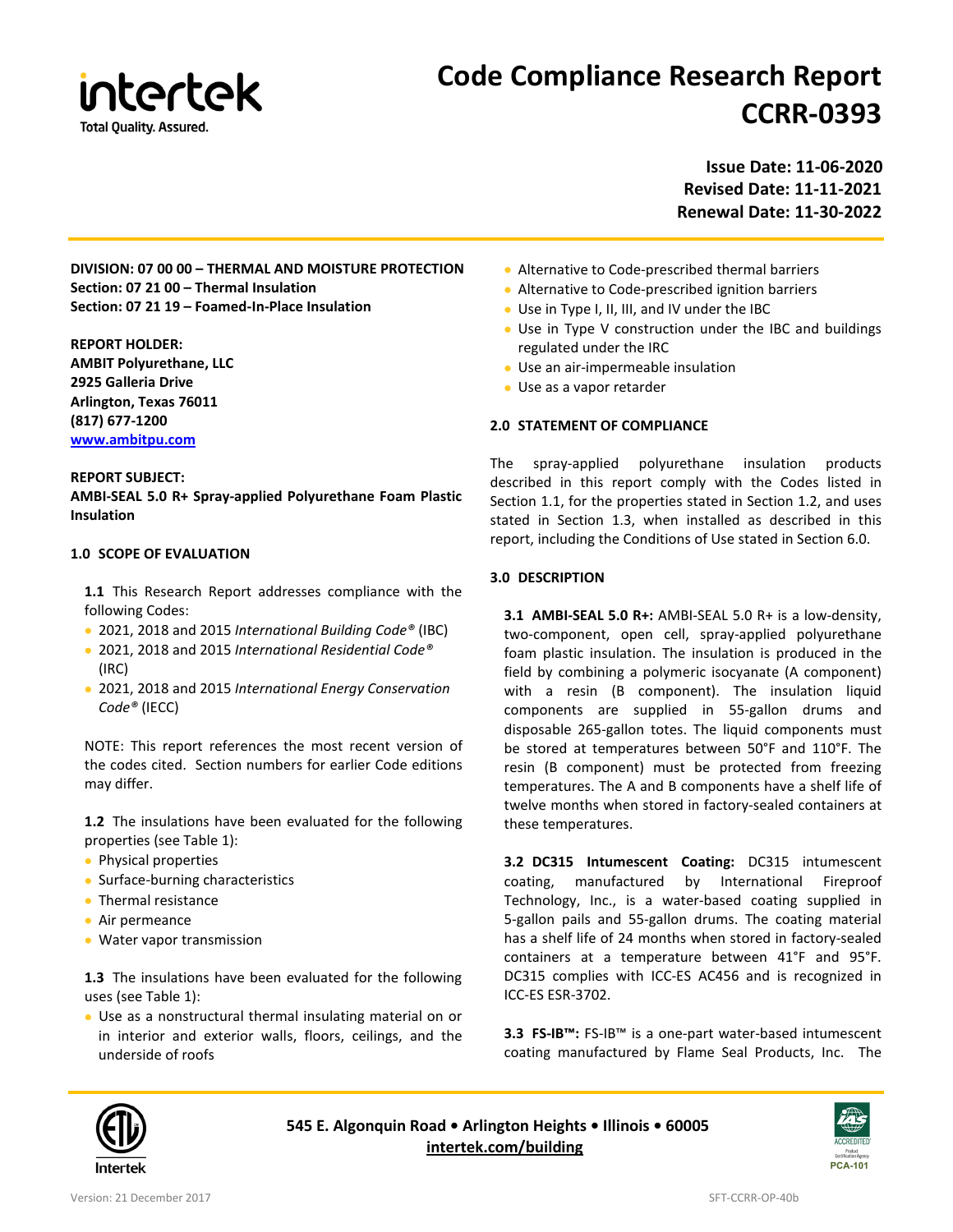

# **Code Compliance Research Report CCRR-0393**

**Issue Date: 11-06-2020 Revised Date: 11-11-2021 Renewal Date: 11-30-2022**

**DIVISION: 07 00 00 – THERMAL AND MOISTURE PROTECTION Section: 07 21 00 – Thermal Insulation Section: 07 21 19 – Foamed-In-Place Insulation**

**REPORT HOLDER: AMBIT Polyurethane, LLC 2925 Galleria Drive Arlington, Texas 76011 (817) 677-1200 [www.ambitpu.com](http://www.ambitpu.com/)**

#### **REPORT SUBJECT:**

**AMBI-SEAL 5.0 R+ Spray-applied Polyurethane Foam Plastic Insulation**

### **1.0 SCOPE OF EVALUATION**

**1.1** This Research Report addresses compliance with the following Codes:

- 2021, 2018 and 2015 *International Building Code®* (IBC)
- 2021, 2018 and 2015 *International Residential Code®*  (IRC)
- 2021, 2018 and 2015 *International Energy Conservation Code®* (IECC)

NOTE: This report references the most recent version of the codes cited. Section numbers for earlier Code editions may differ.

**1.2** The insulations have been evaluated for the following properties (see Table 1):

- Physical properties
- Surface-burning characteristics
- Thermal resistance
- Air permeance
- Water vapor transmission

**1.3** The insulations have been evaluated for the following uses (see Table 1):

• Use as a nonstructural thermal insulating material on or in interior and exterior walls, floors, ceilings, and the underside of roofs

- Alternative to Code-prescribed thermal barriers
- Alternative to Code-prescribed ignition barriers
- Use in Type I, II, III, and IV under the IBC
- Use in Type V construction under the IBC and buildings regulated under the IRC
- Use an air-impermeable insulation
- Use as a vapor retarder

#### **2.0 STATEMENT OF COMPLIANCE**

The spray-applied polyurethane insulation products described in this report comply with the Codes listed in Section 1.1, for the properties stated in Section 1.2, and uses stated in Section 1.3, when installed as described in this report, including the Conditions of Use stated in Section 6.0.

#### **3.0 DESCRIPTION**

**3.1 AMBI-SEAL 5.0 R+:** AMBI-SEAL 5.0 R+ is a low-density, two-component, open cell, spray-applied polyurethane foam plastic insulation. The insulation is produced in the field by combining a polymeric isocyanate (A component) with a resin (B component). The insulation liquid components are supplied in 55-gallon drums and disposable 265-gallon totes. The liquid components must be stored at temperatures between 50°F and 110°F. The resin (B component) must be protected from freezing temperatures. The A and B components have a shelf life of twelve months when stored in factory-sealed containers at these temperatures.

**3.2 DC315 Intumescent Coating:** DC315 intumescent coating, manufactured by International Fireproof Technology, Inc., is a water-based coating supplied in 5-gallon pails and 55-gallon drums. The coating material has a shelf life of 24 months when stored in factory-sealed containers at a temperature between 41°F and 95°F. DC315 complies with ICC-ES AC456 and is recognized in ICC-ES ESR-3702.

**3.3 FS-IB™:** FS-IB™ is a one-part water-based intumescent coating manufactured by Flame Seal Products, Inc. The



**545 E. Algonquin Road • Arlington Heights • Illinois • 60005 [intertek.com/building](http://www.intertek.com/building/)**

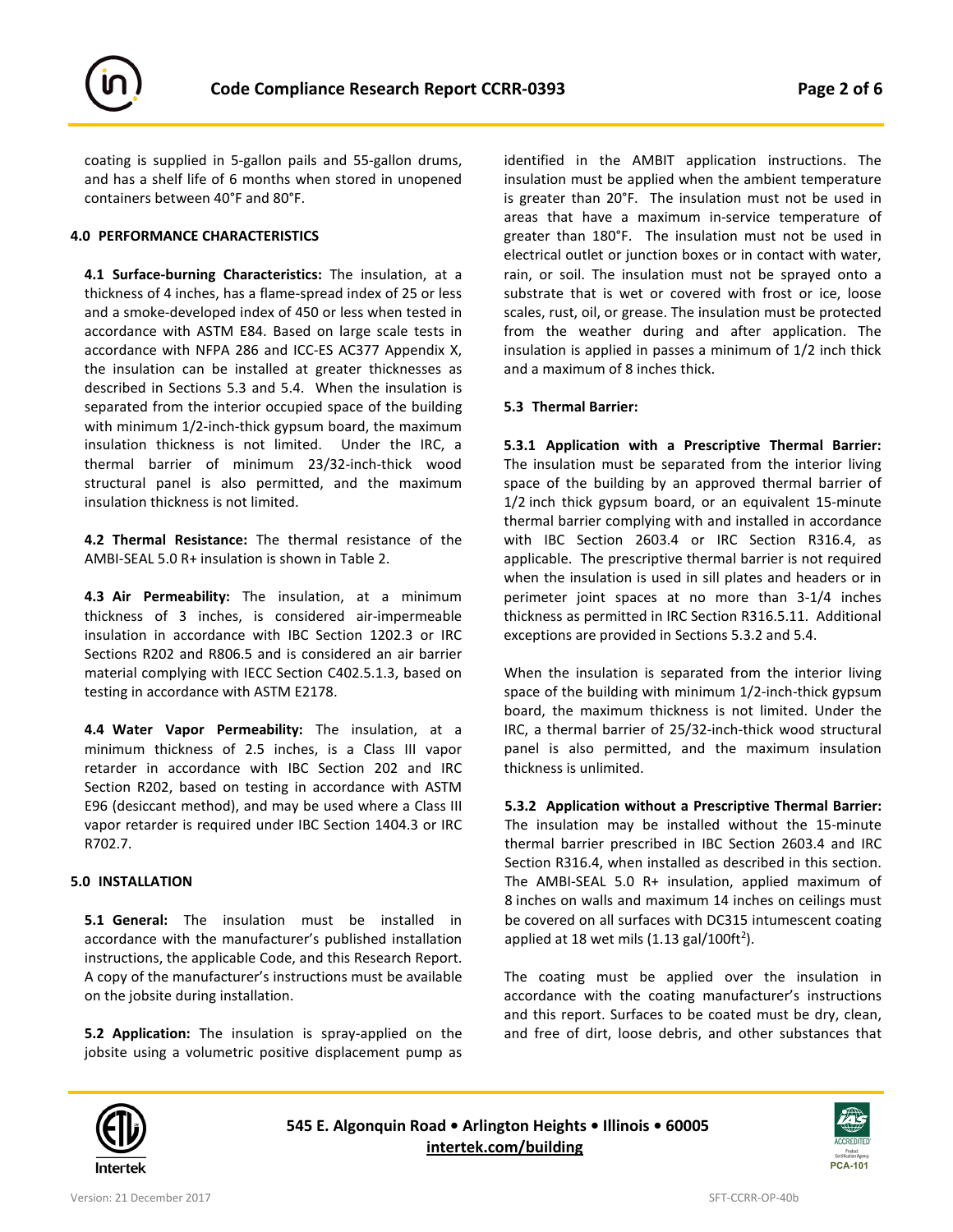

coating is supplied in 5-gallon pails and 55-gallon drums, and has a shelf life of 6 months when stored in unopened containers between 40°F and 80°F.

#### **4.0 PERFORMANCE CHARACTERISTICS**

**4.1 Surface-burning Characteristics:** The insulation, at a thickness of 4 inches, has a flame-spread index of 25 or less and a smoke-developed index of 450 or less when tested in accordance with ASTM E84. Based on large scale tests in accordance with NFPA 286 and ICC-ES AC377 Appendix X, the insulation can be installed at greater thicknesses as described in Sections 5.3 and 5.4. When the insulation is separated from the interior occupied space of the building with minimum 1/2-inch-thick gypsum board, the maximum insulation thickness is not limited. Under the IRC, a thermal barrier of minimum 23/32-inch-thick wood structural panel is also permitted, and the maximum insulation thickness is not limited.

**4.2 Thermal Resistance:** The thermal resistance of the AMBI-SEAL 5.0 R+ insulation is shown in Table 2.

**4.3 Air Permeability:** The insulation, at a minimum thickness of 3 inches, is considered air-impermeable insulation in accordance with IBC Section 1202.3 or IRC Sections R202 and R806.5 and is considered an air barrier material complying with IECC Section C402.5.1.3, based on testing in accordance with ASTM E2178.

**4.4 Water Vapor Permeability:** The insulation, at a minimum thickness of 2.5 inches, is a Class III vapor retarder in accordance with IBC Section 202 and IRC Section R202, based on testing in accordance with ASTM E96 (desiccant method), and may be used where a Class III vapor retarder is required under IBC Section 1404.3 or IRC R702.7.

## **5.0 INSTALLATION**

**5.1 General:** The insulation must be installed in accordance with the manufacturer's published installation instructions, the applicable Code, and this Research Report. A copy of the manufacturer's instructions must be available on the jobsite during installation.

**5.2 Application:** The insulation is spray-applied on the jobsite using a volumetric positive displacement pump as

identified in the AMBIT application instructions. The insulation must be applied when the ambient temperature is greater than 20°F. The insulation must not be used in areas that have a maximum in-service temperature of greater than 180°F. The insulation must not be used in electrical outlet or junction boxes or in contact with water, rain, or soil. The insulation must not be sprayed onto a substrate that is wet or covered with frost or ice, loose scales, rust, oil, or grease. The insulation must be protected from the weather during and after application. The insulation is applied in passes a minimum of 1/2 inch thick and a maximum of 8 inches thick.

## **5.3 Thermal Barrier:**

**5.3.1 Application with a Prescriptive Thermal Barrier:** The insulation must be separated from the interior living space of the building by an approved thermal barrier of 1/2 inch thick gypsum board, or an equivalent 15-minute thermal barrier complying with and installed in accordance with IBC Section 2603.4 or IRC Section R316.4, as applicable. The prescriptive thermal barrier is not required when the insulation is used in sill plates and headers or in perimeter joint spaces at no more than 3-1/4 inches thickness as permitted in IRC Section R316.5.11. Additional exceptions are provided in Sections 5.3.2 and 5.4.

When the insulation is separated from the interior living space of the building with minimum 1/2-inch-thick gypsum board, the maximum thickness is not limited. Under the IRC, a thermal barrier of 25/32-inch-thick wood structural panel is also permitted, and the maximum insulation thickness is unlimited.

**5.3.2 Application without a Prescriptive Thermal Barrier:** The insulation may be installed without the 15-minute thermal barrier prescribed in IBC Section 2603.4 and IRC Section R316.4, when installed as described in this section. The AMBI-SEAL 5.0 R+ insulation, applied maximum of 8 inches on walls and maximum 14 inches on ceilings must be covered on all surfaces with DC315 intumescent coating applied at 18 wet mils  $(1.13 \text{ gal}/100 \text{ft}^2)$ .

The coating must be applied over the insulation in accordance with the coating manufacturer's instructions and this report. Surfaces to be coated must be dry, clean, and free of dirt, loose debris, and other substances that



**545 E. Algonquin Road • Arlington Heights • Illinois • 60005 [intertek.com/building](http://www.intertek.com/building/)**

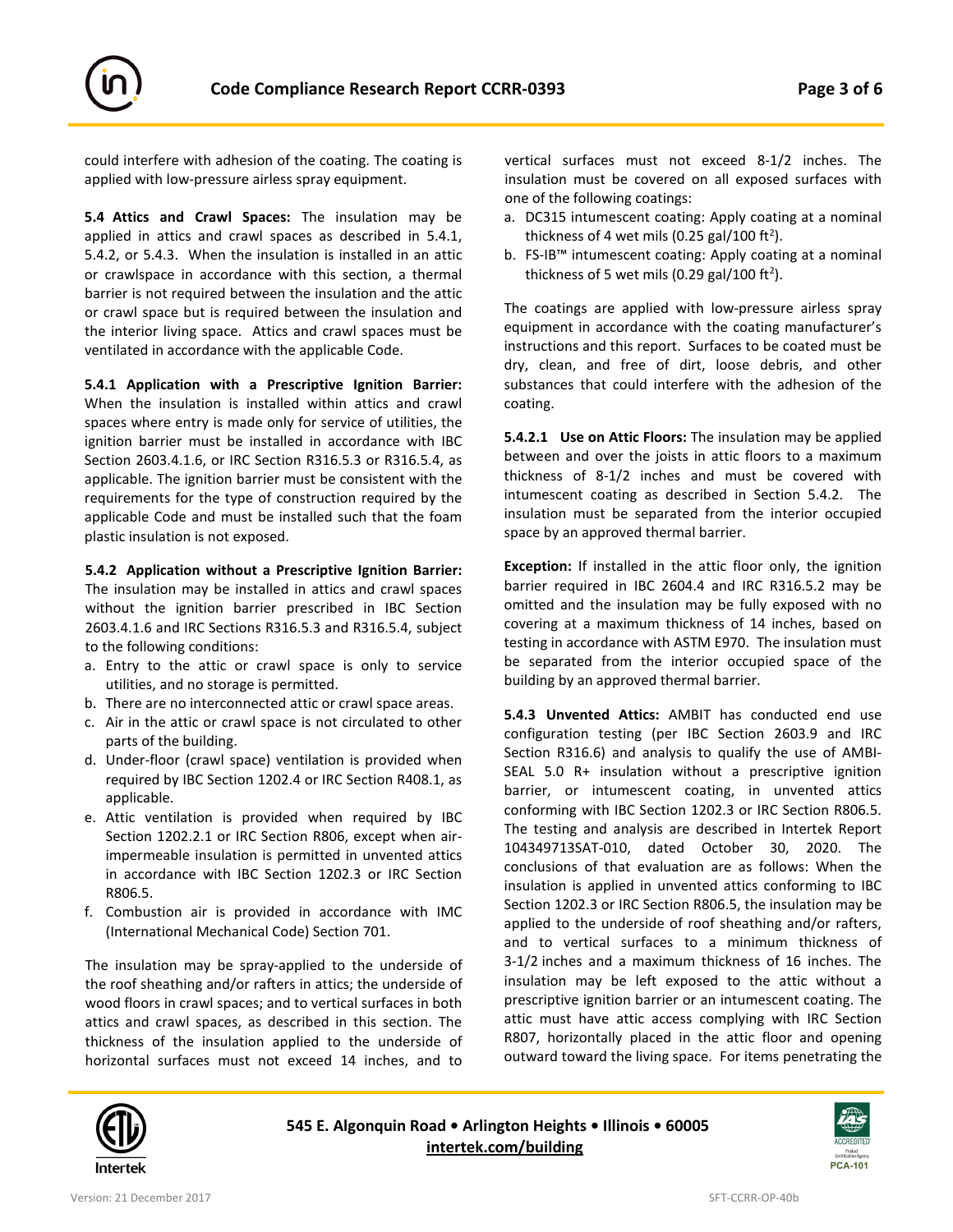

could interfere with adhesion of the coating. The coating is applied with low-pressure airless spray equipment.

**5.4 Attics and Crawl Spaces:** The insulation may be applied in attics and crawl spaces as described in 5.4.1, 5.4.2, or 5.4.3. When the insulation is installed in an attic or crawlspace in accordance with this section, a thermal barrier is not required between the insulation and the attic or crawl space but is required between the insulation and the interior living space. Attics and crawl spaces must be ventilated in accordance with the applicable Code.

**5.4.1 Application with a Prescriptive Ignition Barrier:** When the insulation is installed within attics and crawl spaces where entry is made only for service of utilities, the ignition barrier must be installed in accordance with IBC Section 2603.4.1.6, or IRC Section R316.5.3 or R316.5.4, as applicable. The ignition barrier must be consistent with the requirements for the type of construction required by the applicable Code and must be installed such that the foam plastic insulation is not exposed.

**5.4.2 Application without a Prescriptive Ignition Barrier:** The insulation may be installed in attics and crawl spaces without the ignition barrier prescribed in IBC Section 2603.4.1.6 and IRC Sections R316.5.3 and R316.5.4, subject to the following conditions:

- a. Entry to the attic or crawl space is only to service utilities, and no storage is permitted.
- b. There are no interconnected attic or crawl space areas.
- c. Air in the attic or crawl space is not circulated to other parts of the building.
- d. Under-floor (crawl space) ventilation is provided when required by IBC Section 1202.4 or IRC Section R408.1, as applicable.
- e. Attic ventilation is provided when required by IBC Section 1202.2.1 or IRC Section R806, except when airimpermeable insulation is permitted in unvented attics in accordance with IBC Section 1202.3 or IRC Section R806.5.
- f. Combustion air is provided in accordance with IMC (International Mechanical Code) Section 701.

The insulation may be spray-applied to the underside of the roof sheathing and/or rafters in attics; the underside of wood floors in crawl spaces; and to vertical surfaces in both attics and crawl spaces, as described in this section. The thickness of the insulation applied to the underside of horizontal surfaces must not exceed 14 inches, and to vertical surfaces must not exceed 8-1/2 inches. The insulation must be covered on all exposed surfaces with one of the following coatings:

- a. DC315 intumescent coating: Apply coating at a nominal thickness of 4 wet mils (0.25 gal/100 ft<sup>2</sup>).
- b. FS-IB™ intumescent coating: Apply coating at a nominal thickness of 5 wet mils (0.29 gal/100 ft<sup>2</sup>).

The coatings are applied with low-pressure airless spray equipment in accordance with the coating manufacturer's instructions and this report. Surfaces to be coated must be dry, clean, and free of dirt, loose debris, and other substances that could interfere with the adhesion of the coating.

**5.4.2.1 Use on Attic Floors:** The insulation may be applied between and over the joists in attic floors to a maximum thickness of 8-1/2 inches and must be covered with intumescent coating as described in Section 5.4.2. The insulation must be separated from the interior occupied space by an approved thermal barrier.

**Exception:** If installed in the attic floor only, the ignition barrier required in IBC 2604.4 and IRC R316.5.2 may be omitted and the insulation may be fully exposed with no covering at a maximum thickness of 14 inches, based on testing in accordance with ASTM E970. The insulation must be separated from the interior occupied space of the building by an approved thermal barrier.

**5.4.3 Unvented Attics:** AMBIT has conducted end use configuration testing (per IBC Section 2603.9 and IRC Section R316.6) and analysis to qualify the use of AMBI-SEAL 5.0 R+ insulation without a prescriptive ignition barrier, or intumescent coating, in unvented attics conforming with IBC Section 1202.3 or IRC Section R806.5. The testing and analysis are described in Intertek Report 104349713SAT-010, dated October 30, 2020. The conclusions of that evaluation are as follows: When the insulation is applied in unvented attics conforming to IBC Section 1202.3 or IRC Section R806.5, the insulation may be applied to the underside of roof sheathing and/or rafters, and to vertical surfaces to a minimum thickness of 3-1/2 inches and a maximum thickness of 16 inches. The insulation may be left exposed to the attic without a prescriptive ignition barrier or an intumescent coating. The attic must have attic access complying with IRC Section R807, horizontally placed in the attic floor and opening outward toward the living space. For items penetrating the



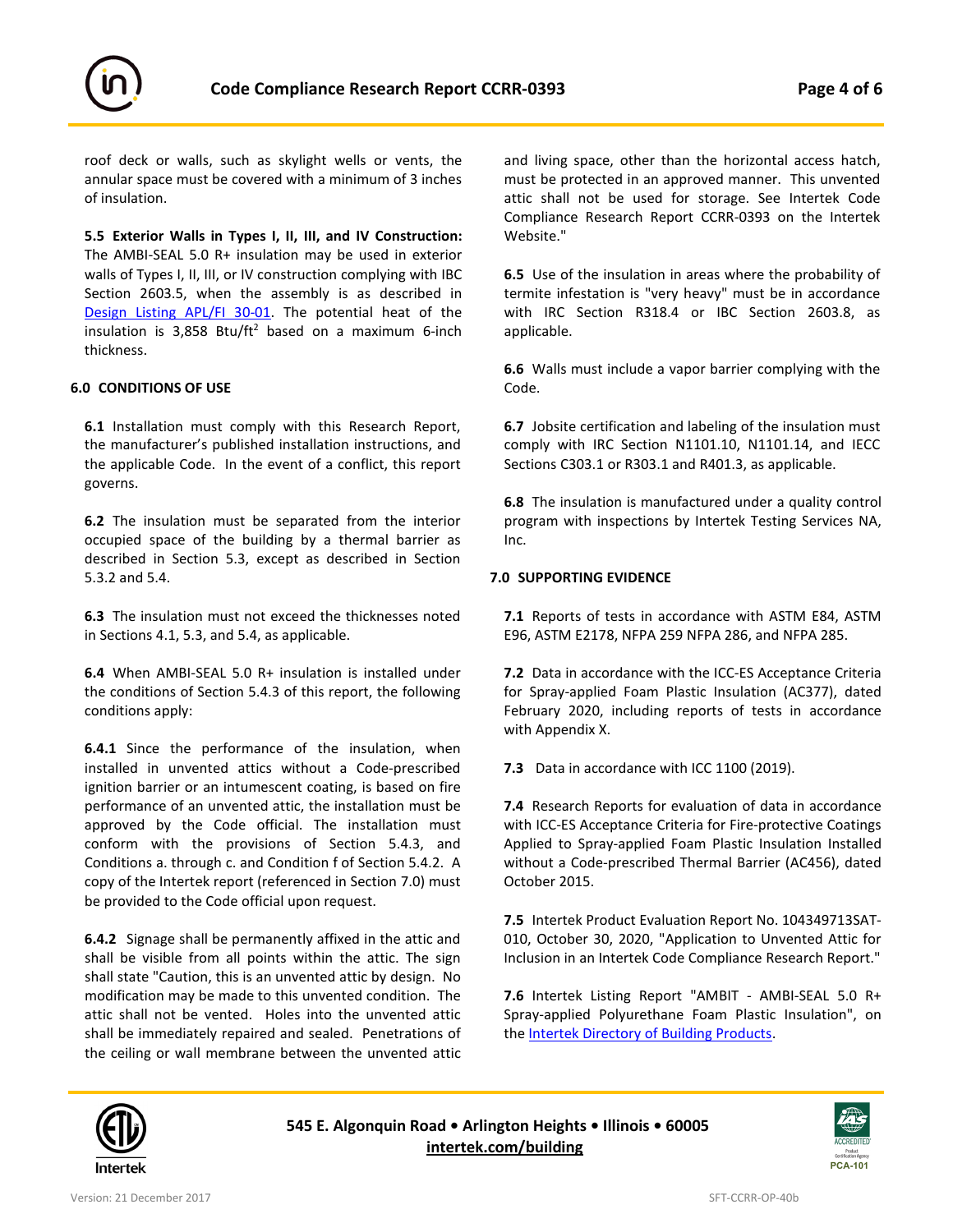



roof deck or walls, such as skylight wells or vents, the annular space must be covered with a minimum of 3 inches of insulation.

**5.5 Exterior Walls in Types I, II, III, and IV Construction:** The AMBI-SEAL 5.0 R+ insulation may be used in exterior walls of Types I, II, III, or IV construction complying with IBC Section 2603.5, when the assembly is as described in [Design Listing](https://bpdirectory.intertek.com/pages/DLP_SearchDetail.aspx?SpecID=58396) APL/FI 30-01. The potential heat of the insulation is  $3,858$  Btu/ft<sup>2</sup> based on a maximum 6-inch thickness.

## **6.0 CONDITIONS OF USE**

**6.1** Installation must comply with this Research Report, the manufacturer's published installation instructions, and the applicable Code. In the event of a conflict, this report governs.

**6.2** The insulation must be separated from the interior occupied space of the building by a thermal barrier as described in Section 5.3, except as described in Section 5.3.2 and 5.4.

**6.3** The insulation must not exceed the thicknesses noted in Sections 4.1, 5.3, and 5.4, as applicable.

**6.4** When AMBI-SEAL 5.0 R+ insulation is installed under the conditions of Section 5.4.3 of this report, the following conditions apply:

**6.4.1** Since the performance of the insulation, when installed in unvented attics without a Code-prescribed ignition barrier or an intumescent coating, is based on fire performance of an unvented attic, the installation must be approved by the Code official. The installation must conform with the provisions of Section 5.4.3, and Conditions a. through c. and Condition f of Section 5.4.2. A copy of the Intertek report (referenced in Section 7.0) must be provided to the Code official upon request.

**6.4.2** Signage shall be permanently affixed in the attic and shall be visible from all points within the attic. The sign shall state "Caution, this is an unvented attic by design. No modification may be made to this unvented condition. The attic shall not be vented. Holes into the unvented attic shall be immediately repaired and sealed. Penetrations of the ceiling or wall membrane between the unvented attic

and living space, other than the horizontal access hatch, must be protected in an approved manner. This unvented attic shall not be used for storage. See Intertek Code Compliance Research Report CCRR-0393 on the Intertek Website."

**6.5** Use of the insulation in areas where the probability of termite infestation is "very heavy" must be in accordance with IRC Section R318.4 or IBC Section 2603.8, as applicable.

**6.6** Walls must include a vapor barrier complying with the Code.

**6.7** Jobsite certification and labeling of the insulation must comply with IRC Section N1101.10, N1101.14, and IECC Sections C303.1 or R303.1 and R401.3, as applicable.

**6.8** The insulation is manufactured under a quality control program with inspections by Intertek Testing Services NA, Inc.

## **7.0 SUPPORTING EVIDENCE**

**7.1** Reports of tests in accordance with ASTM E84, ASTM E96, ASTM E2178, NFPA 259 NFPA 286, and NFPA 285.

**7.2** Data in accordance with the ICC-ES Acceptance Criteria for Spray-applied Foam Plastic Insulation (AC377), dated February 2020, including reports of tests in accordance with Appendix X.

**7.3** Data in accordance with ICC 1100 (2019).

**7.4** Research Reports for evaluation of data in accordance with ICC-ES Acceptance Criteria for Fire-protective Coatings Applied to Spray-applied Foam Plastic Insulation Installed without a Code-prescribed Thermal Barrier (AC456), dated October 2015.

**7.5** Intertek Product Evaluation Report No. 104349713SAT-010, October 30, 2020, "Application to Unvented Attic for Inclusion in an Intertek Code Compliance Research Report."

**7.6** Intertek Listing Report "AMBIT - AMBI-SEAL 5.0 R+ Spray-applied Polyurethane Foam Plastic Insulation", on the **Intertek Directory of Building Products**.



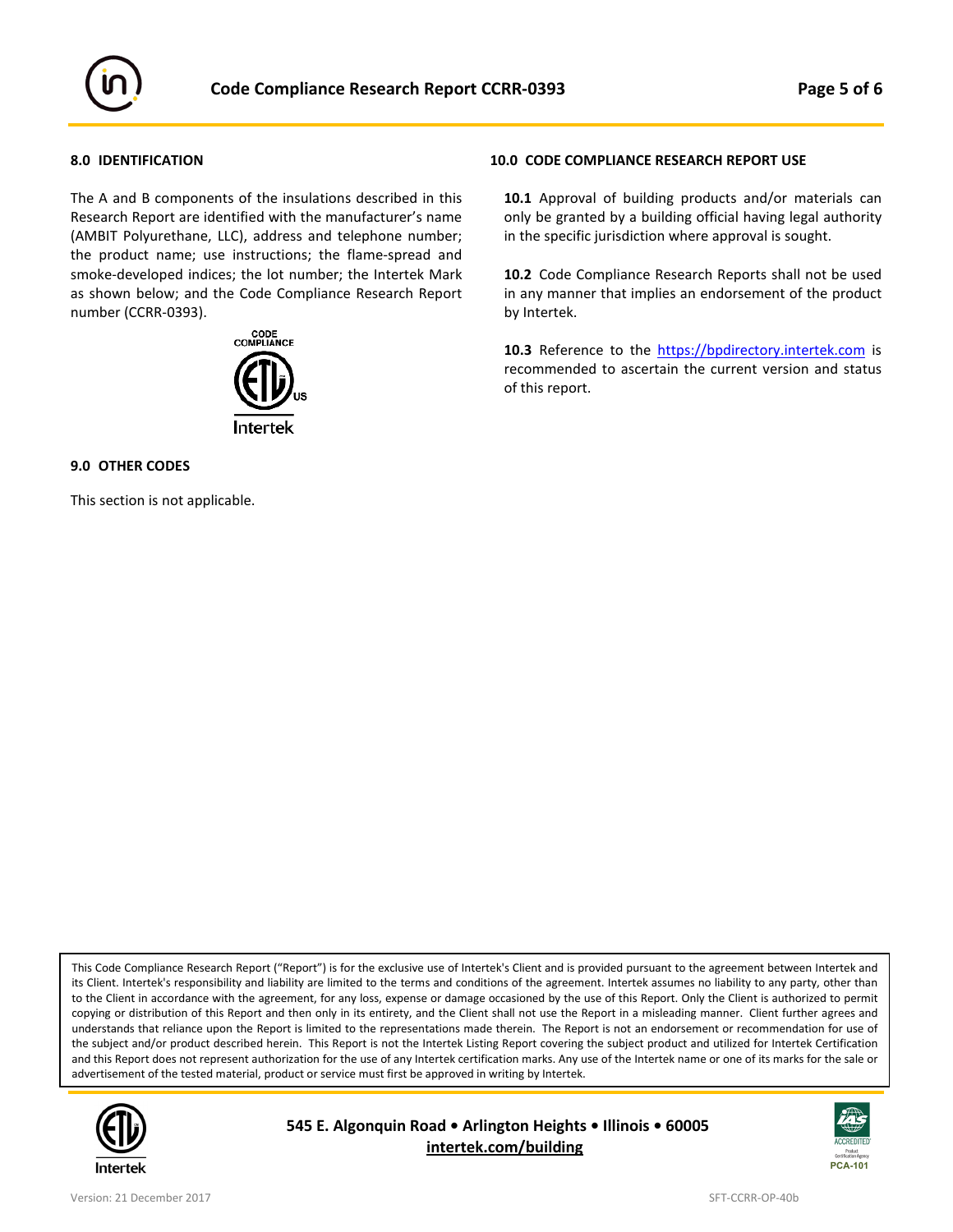

## **8.0 IDENTIFICATION**

The A and B components of the insulations described in this Research Report are identified with the manufacturer's name (AMBIT Polyurethane, LLC), address and telephone number; the product name; use instructions; the flame-spread and smoke-developed indices; the lot number; the Intertek Mark as shown below; and the Code Compliance Research Report number (CCRR-0393).



### **9.0 OTHER CODES**

This section is not applicable.

#### **10.0 CODE COMPLIANCE RESEARCH REPORT USE**

**10.1** Approval of building products and/or materials can only be granted by a building official having legal authority in the specific jurisdiction where approval is sought.

**10.2** Code Compliance Research Reports shall not be used in any manner that implies an endorsement of the product by Intertek.

10.3 Reference to the [https://bpdirectory.intertek.com](https://bpdirectory.intertek.com/pages/DLP_Search.aspx) is recommended to ascertain the current version and status of this report.

This Code Compliance Research Report ("Report") is for the exclusive use of Intertek's Client and is provided pursuant to the agreement between Intertek and its Client. Intertek's responsibility and liability are limited to the terms and conditions of the agreement. Intertek assumes no liability to any party, other than to the Client in accordance with the agreement, for any loss, expense or damage occasioned by the use of this Report. Only the Client is authorized to permit copying or distribution of this Report and then only in its entirety, and the Client shall not use the Report in a misleading manner. Client further agrees and understands that reliance upon the Report is limited to the representations made therein. The Report is not an endorsement or recommendation for use of the subject and/or product described herein. This Report is not the Intertek Listing Report covering the subject product and utilized for Intertek Certification and this Report does not represent authorization for the use of any Intertek certification marks. Any use of the Intertek name or one of its marks for the sale or advertisement of the tested material, product or service must first be approved in writing by Intertek.



**545 E. Algonquin Road • Arlington Heights • Illinois • 60005 [intertek.com/building](http://www.intertek.com/building/)**